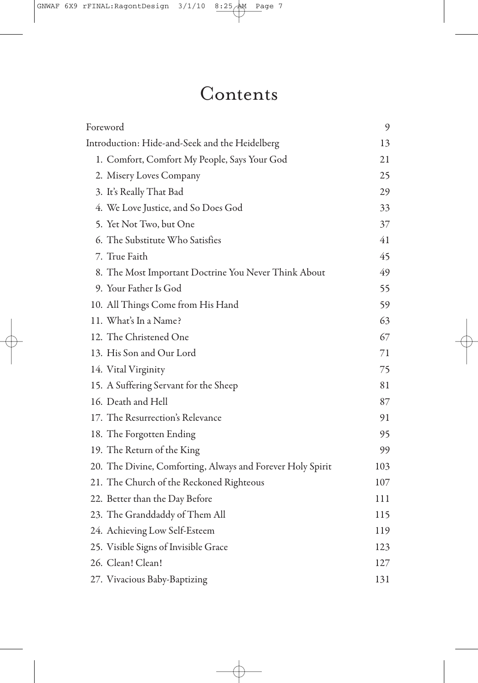## Contents

| Foreword                                                   | 9   |
|------------------------------------------------------------|-----|
| Introduction: Hide-and-Seek and the Heidelberg             | 13  |
| 1. Comfort, Comfort My People, Says Your God               | 21  |
| 2. Misery Loves Company                                    | 25  |
| 3. It's Really That Bad                                    | 29  |
| 4. We Love Justice, and So Does God                        | 33  |
| 5. Yet Not Two, but One                                    | 37  |
| 6. The Substitute Who Satisfies                            | 41  |
| 7. True Faith                                              | 45  |
| 8. The Most Important Doctrine You Never Think About       | 49  |
| 9. Your Father Is God                                      | 55  |
| 10. All Things Come from His Hand                          | 59  |
| 11. What's In a Name?                                      | 63  |
| 12. The Christened One                                     | 67  |
| 13. His Son and Our Lord                                   | 71  |
| 14. Vital Virginity                                        | 75  |
| 15. A Suffering Servant for the Sheep                      | 81  |
| 16. Death and Hell                                         | 87  |
| 17. The Resurrection's Relevance                           | 91  |
| 18. The Forgotten Ending                                   | 95  |
| 19. The Return of the King                                 | 99  |
| 20. The Divine, Comforting, Always and Forever Holy Spirit | 103 |
| 21. The Church of the Reckoned Righteous                   | 107 |
| 22. Better than the Day Before                             | 111 |
| 23. The Granddaddy of Them All                             | 115 |
| 24. Achieving Low Self-Esteem                              | 119 |
| 25. Visible Signs of Invisible Grace                       | 123 |
| 26. Clean! Clean!                                          | 127 |
| 27. Vivacious Baby-Baptizing                               | 131 |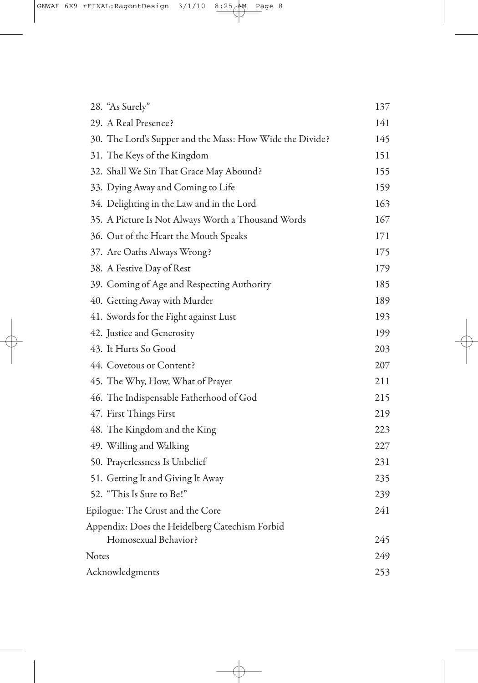| 28. "As Surely"                                          | 137 |
|----------------------------------------------------------|-----|
| 29. A Real Presence?                                     | 141 |
| 30. The Lord's Supper and the Mass: How Wide the Divide? | 145 |
| 31. The Keys of the Kingdom                              | 151 |
| 32. Shall We Sin That Grace May Abound?                  | 155 |
| 33. Dying Away and Coming to Life                        | 159 |
| 34. Delighting in the Law and in the Lord                | 163 |
| 35. A Picture Is Not Always Worth a Thousand Words       | 167 |
| 36. Out of the Heart the Mouth Speaks                    | 171 |
| 37. Are Oaths Always Wrong?                              | 175 |
| 38. A Festive Day of Rest                                | 179 |
| 39. Coming of Age and Respecting Authority               | 185 |
| 40. Getting Away with Murder                             | 189 |
| 41. Swords for the Fight against Lust                    | 193 |
| 42. Justice and Generosity                               | 199 |
| 43. It Hurts So Good                                     | 203 |
| 44. Covetous or Content?                                 | 207 |
| 45. The Why, How, What of Prayer                         | 211 |
| 46. The Indispensable Fatherhood of God                  | 215 |
| 47. First Things First                                   | 219 |
| 48. The Kingdom and the King                             | 223 |
| 49. Willing and Walking                                  | 227 |
| 50. Prayerlessness Is Unbelief                           | 231 |
| 51. Getting It and Giving It Away                        | 235 |
| 52. "This Is Sure to Be!"                                | 239 |
| Epilogue: The Crust and the Core                         | 241 |
| Appendix: Does the Heidelberg Catechism Forbid           |     |
| Homosexual Behavior?                                     | 245 |
| Notes                                                    | 249 |
| Acknowledgments                                          | 253 |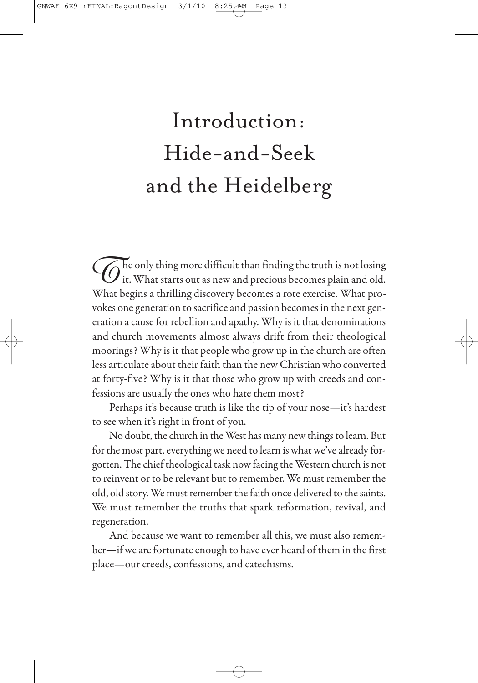# Introduction: Hide-and-Seek and the Heidelberg

**The only thing more difficult than finding the truth is not losing**<br>it. What starts out as new and precious becomes plain and old. What begins a thrilling discovery becomes a rote exercise. What provokes one generation to sacrifice and passion becomes in the next generation a cause for rebellion and apathy. Why is it that denominations and church movements almost always drift from their theological moorings? Why is it that people who grow up in the church are often less articulate about their faith than the new Christian who converted at forty-five? Why is it that those who grow up with creeds and confessions are usually the ones who hate them most?

Perhaps it's because truth is like the tip of your nose—it's hardest to see when it's right in front of you.

No doubt, the church in the West has many new things to learn. But for the most part, everything we need to learn is what we've already forgotten. The chief theological task now facing the Western church is not to reinvent or to be relevant but to remember. We must remember the old, old story. We must remember the faith once delivered to the saints. We must remember the truths that spark reformation, revival, and regeneration.

And because we want to remember all this, we must also remember-if we are fortunate enough to have ever heard of them in the first place—our creeds, confessions, and catechisms.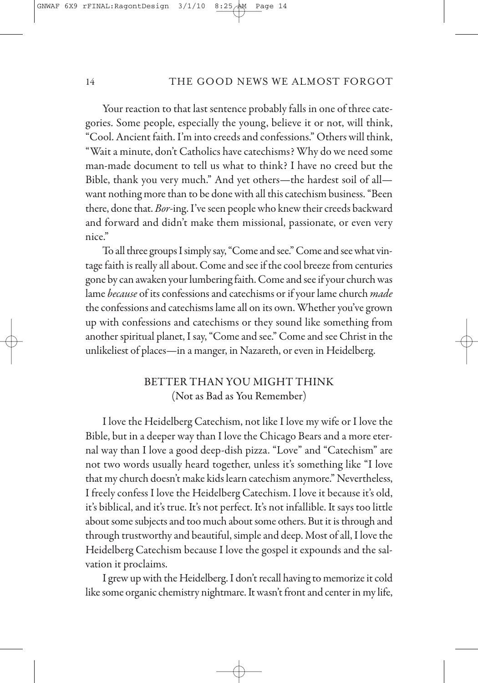Your reaction to that last sentence probably falls in one of three categories. Some people, especially the young, believe it or not, will think, "Cool. Ancient faith. I'm into creedsand confessions." Others will think, "Wait a minute, don't Catholics have catechisms? Why do we need some man-made document to tell us what to think? I have no creed but the Bible, thank you very much." And yet others—the hardest soil of all want nothing more than to be done with all this catechism business. "Been there, done that. *Bor*-ing. I've seen people who knew their creeds backward and forward and didn't make them missional, passionate, or even very nice."

To all three groups I simply say, "Come and see." Come and see what vintage faith is really all about. Come and see if the cool breeze from centuries gone by can awaken your lumbering faith. Come and see if your church was lame *because* of its confessions and catechisms or if your lame church *made* the confessions and catechisms lame all on its own. Whether you've grown up with confessions and catechisms or they sound like something from another spiritual planet, I say,"Comeand see." Comeand see Christ in the unlikeliest of places—in a manger, in Nazareth, or even in Heidelberg.

### BETTER THAN YOU MIGHT THINK (Not as Bad as You Remember)

I love the Heidelberg Catechism, not like I love my wife or I love the Bible, but in a deeper way than I love the Chicago Bears and a more eternal way than I love a good deep-dish pizza. "Love" and "Catechism" are not two words usually heard together, unless it's something like "I love that my church doesn't make kids learn catechism anymore." Nevertheless, I freely confess I love the Heidelberg Catechism. I love it because it's old, it's biblical,and it's true. It's not perfect. It's not infallible. It says too little about some subjects and too much about some others. But it is through and through trustworthy and beautiful, simple and deep. Most of all, I love the Heidelberg Catechism because I love the gospel it expounds and the salvation it proclaims.

I grew up with the Heidelberg. I don't recall having to memorize it cold like some organic chemistry nightmare. It wasn't front and center in my life,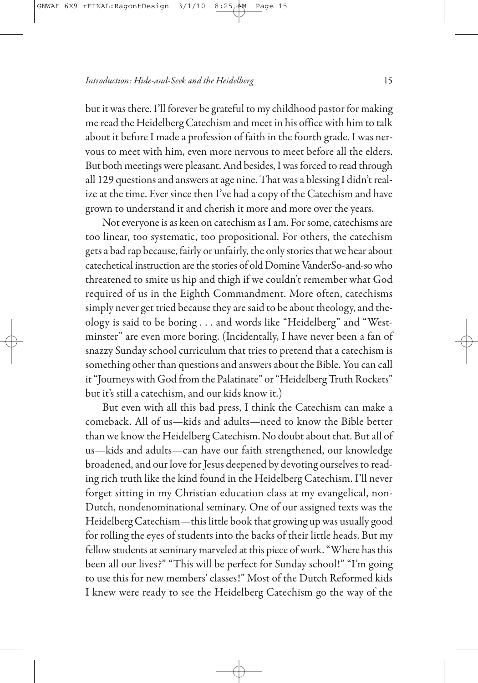but it was there. I'll forever be grateful to my childhood pastor for making meread the Heidelberg Catechism and meet in his office with him to talk about it before I made a profession of faith in the fourth grade. I was nervous to meet with him, even more nervous to meet before all the elders. But both meetings were pleasant. And besides, I was forced to read through all 129 questions and answers at age nine. That was a blessing I didn't realize at the time. Ever since then I've had a copy of the Catechism and have grown to understand it and cherish it more and more over the years.

Not everyone is as keen on catechism as I am. For some, catechisms are too linear, too systematic, too propositional. For others, the catechism gets a bad rap because, fairly or unfairly, the only stories that we hear about catechetical instruction are the stories of old Domine VanderSo-and-so who threatened to smite us hip and thigh if we couldn't remember what God required of us in the Eighth Commandment. More often, catechisms simply never get tried because they are said to be about theology, and theology is said to be boring . . . and words like "Heidelberg" and "Westminster" are even more boring. (Incidentally, I have never been a fan of snazzy Sunday school curriculum that tries to pretend that a catechism is something other than questions and answers about the Bible. You can call it "Journeys with God from the Palatinate" or "Heidelberg Truth Rockets" but it's still a catechism, and our kids know it.)

But even with all this bad press, I think the Catechism can make a comeback. All of us—kids and adults—need to know the Bible better than we know the Heidelberg Catechism. No doubt about that. But all of us—kids and adults—can have our faith strengthened, our knowledge broadened, and our love for Jesus deepened by devoting ourselves to reading rich truth like the kind found in the Heidelberg Catechism. I'll never forget sitting in my Christian education class at my evangelical, non-Dutch, nondenominational seminary. One of our assigned texts was the Heidelberg Catechism—this little book that growing up was usually good for rolling the eyes of students into the backs of their little heads. But my fellow students at seminary marveled at this piece of work. "Where has this been all our lives?" "This will be perfect for Sunday school!" "I'm going to use this for new members' classes!" Most of the Dutch Reformed kids I knew were ready to see the Heidelberg Catechism go the way of the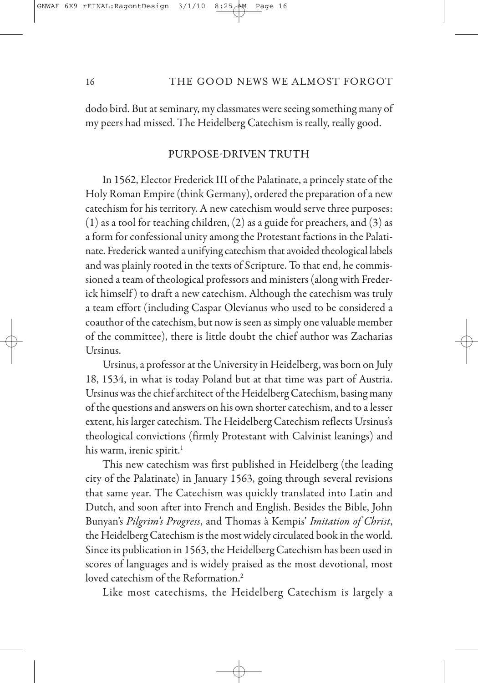dodo bird. But at seminary, my classmates were seeing something many of my peers had missed. The Heidelberg Catechism is really, really good.

#### PURPOSE-DRIVEN TRUTH

In 1562, Elector Frederick III of the Palatinate, a princely state of the Holy Roman Empire (think Germany), ordered the preparation of a new catechism for his territory. A new catechism would serve three purposes:  $(1)$  as a tool for teaching children,  $(2)$  as a guide for preachers, and  $(3)$  as a form for confessional unity among the Protestant factions in the Palatinate. Frederick wanted a unifying catechism that avoided theological labels and was plainly rooted in the texts of Scripture. To that end, he commissioned ateam of theological professorsand ministers (along with Frederick himself) to draft a new catechism. Although the catechism was truly a team effort (including Caspar Olevianus who used to be considered a coauthor of the catechism, but now is seen as simply one valuable member of the committee), there is little doubt the chief author was Zacharias Ursinus.

Ursinus, a professor at the University in Heidelberg, was born on July 18, 1534, in what is today Poland but at that time was part of Austria. Ursinus was the chief architect of the Heidelberg Catechism, basing many of the questions and answers on his own shorter catechism, and to a lesser extent, his larger catechism. The Heidelberg Catechism reflects Ursinus's theological convictions (firmly Protestant with Calvinist leanings) and his warm, irenic spirit. 1

This new catechism was first published in Heidelberg (the leading city of the Palatinate) in January 1563, going through several revisions that same year. The Catechism was quickly translated into Latin and Dutch, and soon after into French and English. Besides the Bible, John Bunyan's *Pilgrim's Progress*, and Thomas à Kempis' *Imitation of Christ*, the Heidelberg Catechism is the most widely circulated book in the world. Since its publication in 1563, the Heidelberg Catechism has been used in scores of languages and is widely praised as the most devotional, most loved catechism of the Reformation. 2

Like most catechisms, the Heidelberg Catechism is largely a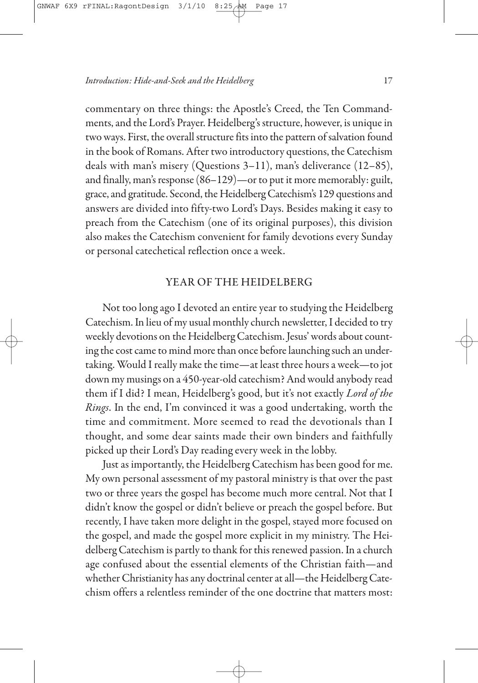commentary on three things: the Apostle's Creed, the Ten Commandments, and the Lord's Prayer. Heidelberg's structure, however, is unique in two ways. First, the overall structure fits into the pattern of salvation found in the book of Romans. After two introductory questions, the Catechism deals with man's misery (Questions 3–11), man's deliverance (12–85), and finally, man's response  $(86-129)$ —or to put it more memorably: guilt, grace, and gratitude. Second, the Heidelberg Catechism's 129 questions and answers are divided into fifty-two Lord's Days. Besides making it easy to preach from the Catechism (one of its original purposes), this division also makes the Catechism convenient for family devotions every Sunday or personal catechetical reflection once a week.

#### YEAR OF THE HEIDELBERG

Not too long ago I devoted an entire year to studying the Heidelberg Catechism.In lieu of my usual monthly church newsletter,I decided to try weekly devotions on the Heidelberg Catechism. Jesus' words about counting the cost came to mind more than once before launching such an undertaking. Would I really make the time—at least three hours a week—to jot down my musings on a 450-year-old catechism?And would anybody read them if I did? I mean, Heidelberg's good, but it's not exactly *Lord of the Rings*. In the end, I'm convinced it was a good undertaking, worth the time and commitment. More seemed to read the devotionals than I thought, and some dear saints made their own binders and faithfully picked up their Lord's Day reading every week in the lobby.

Just as importantly, the Heidelberg Catechism has been good for me. My own personal assessment of my pastoral ministry is that over the past two or three years the gospel has become much more central. Not that I didn't know the gospel or didn't believe or preach the gospel before. But recently, I have taken more delight in the gospel, stayed more focused on the gospel, and made the gospel more explicit in my ministry. The Heidelberg Catechism is partly to thank for this renewed passion. In a church age confused about the essential elements of the Christian faith—and whether Christianity has any doctrinal center at all-the Heidelberg Catechism offers a relentless reminder of the one doctrine that matters most: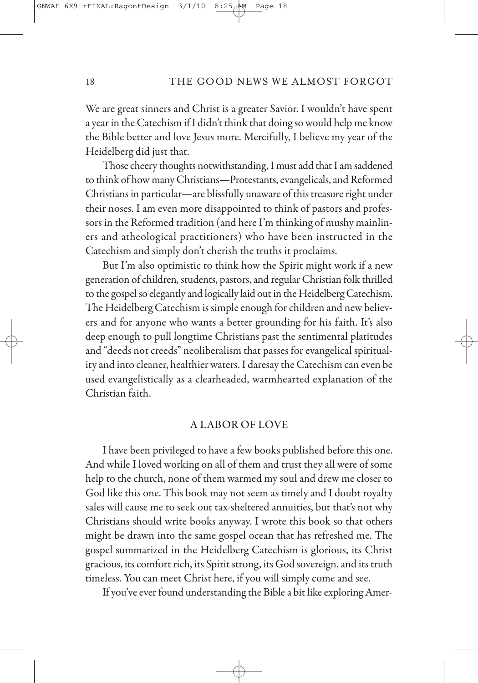We are great sinners and Christ is a greater Savior. I wouldn't have spent a year in the Catechism if I didn't think that doing so would help me know the Bible better and love Jesus more. Mercifully, I believe my year of the Heidelberg did just that.

Those cheery thoughts notwithstanding, I must add that I am saddened to think of how many Christians—Protestants, evangelicals, and Reformed Christians in particular—are blissfully unaware of this treasure right under their noses. I am even more disappointed to think of pastors and professors in the Reformed tradition (and here I'm thinking of mushy mainliners and atheological practitioners) who have been instructed in the Catechism and simply don't cherish the truths it proclaims.

But I'm also optimistic to think how the Spirit might work if a new generation of children, students, pastors, and regular Christian folk thrilled to the gospel so elegantly and logically laid out in the Heidelberg Catechism. The Heidelberg Catechism is simple enough for children and new believers and for anyone who wants a better grounding for his faith. It's also deep enough to pull longtime Christians past the sentimental platitudes and "deeds not creeds" neoliberalism that passes for evangelical spirituality and into cleaner, healthier waters.I daresay the Catechism can even be used evangelistically as a clearheaded, warmhearted explanation of the Christian faith.

#### A LABOR OF LOVE

I have been privileged to have a few books published before this one. And while I loved working on all of them and trust they all were of some help to the church, none of them warmed my soul and drew me closer to God like this one. This book may not seem as timely and I doubt royalty sales will cause me to seek out tax-sheltered annuities, but that's not why Christians should write books anyway. I wrote this book so that others might be drawn into the same gospel ocean that has refreshed me. The gospel summarized in the Heidelberg Catechism is glorious, its Christ gracious, its comfort rich, its Spirit strong, its God sovereign, and its truth timeless. You can meet Christ here, if you will simply come and see.

If you've ever found understanding the Bible a bit like exploring Amer-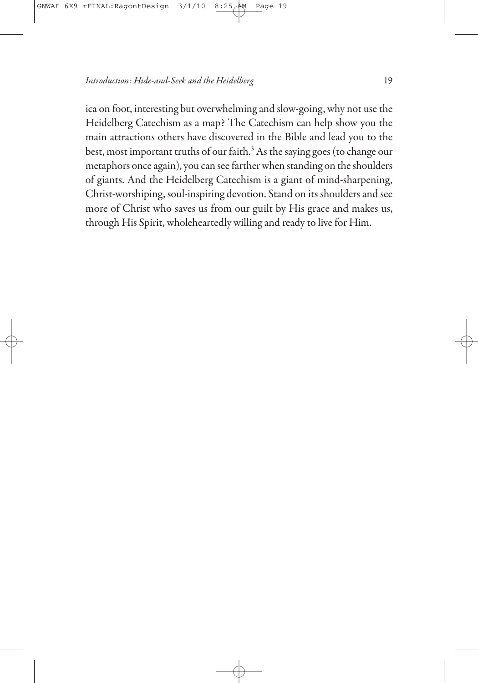ica on foot, interesting but overwhelming and slow-going, why not use the Heidelberg Catechism as a map? The Catechism can help show you the main attractions others have discovered in the Bible and lead you to the best, most important truths of our faith.<sup>3</sup> As the saying goes (to change our metaphors once again), you can see farther when standing on the shoulders of giants. And the Heidelberg Catechism is a giant of mind-sharpening, Christ-worshiping, soul-inspiring devotion. Stand on its shoulders and see more of Christ who saves us from our guilt by His grace and makes us, through His Spirit, wholeheartedly willing and ready to live for Him.